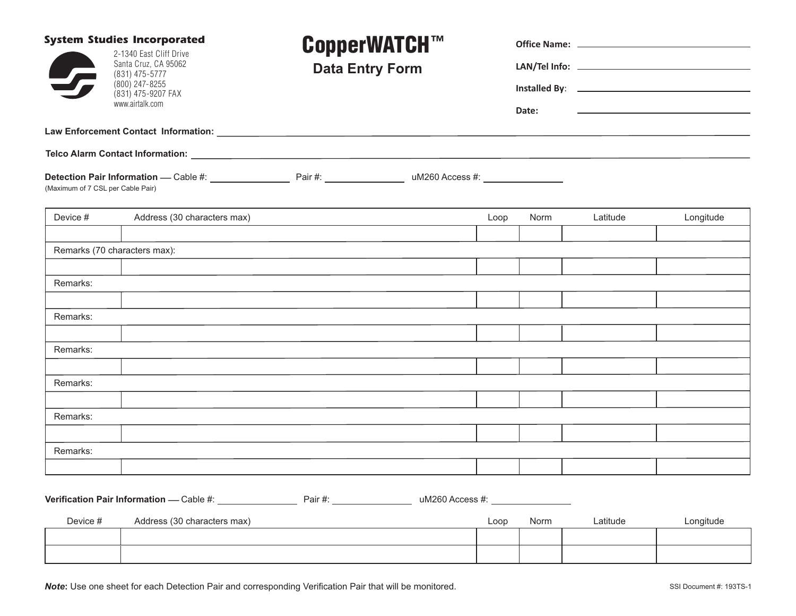| <b>System Studies Incorporated</b><br>2-1340 East Cliff Drive<br>Santa Cruz, CA 95062<br>(831) 475-5777<br>(800) 247-8255<br>(831) 475-9207 FAX |                                          | <b>CopperWATCH™</b><br><b>Data Entry Form</b> |                 |      |       |          |                                                                                                                                                                                                                                      |
|-------------------------------------------------------------------------------------------------------------------------------------------------|------------------------------------------|-----------------------------------------------|-----------------|------|-------|----------|--------------------------------------------------------------------------------------------------------------------------------------------------------------------------------------------------------------------------------------|
|                                                                                                                                                 |                                          |                                               |                 |      |       |          |                                                                                                                                                                                                                                      |
|                                                                                                                                                 |                                          |                                               |                 |      |       |          | Installed By: <u>New York: New York: New York: New York: New York: New York: New York: New York: New York: New York: New York: New York: New York: New York: New York: New York: New York: New York: New York: New York: New Yor</u> |
|                                                                                                                                                 | www.airtalk.com                          |                                               |                 |      | Date: |          |                                                                                                                                                                                                                                      |
|                                                                                                                                                 |                                          |                                               |                 |      |       |          |                                                                                                                                                                                                                                      |
|                                                                                                                                                 |                                          |                                               |                 |      |       |          |                                                                                                                                                                                                                                      |
| (Maximum of 7 CSL per Cable Pair)                                                                                                               |                                          |                                               |                 |      |       |          |                                                                                                                                                                                                                                      |
| Device #                                                                                                                                        | Address (30 characters max)              |                                               |                 | Loop | Norm  | Latitude | Longitude                                                                                                                                                                                                                            |
|                                                                                                                                                 |                                          |                                               |                 |      |       |          |                                                                                                                                                                                                                                      |
| Remarks (70 characters max):                                                                                                                    |                                          |                                               |                 |      |       |          |                                                                                                                                                                                                                                      |
|                                                                                                                                                 |                                          |                                               |                 |      |       |          |                                                                                                                                                                                                                                      |
| Remarks:                                                                                                                                        |                                          |                                               |                 |      |       |          |                                                                                                                                                                                                                                      |
| Remarks:                                                                                                                                        |                                          |                                               |                 |      |       |          |                                                                                                                                                                                                                                      |
|                                                                                                                                                 |                                          |                                               |                 |      |       |          |                                                                                                                                                                                                                                      |
| Remarks:                                                                                                                                        |                                          |                                               |                 |      |       |          |                                                                                                                                                                                                                                      |
|                                                                                                                                                 |                                          |                                               |                 |      |       |          |                                                                                                                                                                                                                                      |
| Remarks:                                                                                                                                        |                                          |                                               |                 |      |       |          |                                                                                                                                                                                                                                      |
|                                                                                                                                                 |                                          |                                               |                 |      |       |          |                                                                                                                                                                                                                                      |
| Remarks:                                                                                                                                        |                                          |                                               |                 |      |       |          |                                                                                                                                                                                                                                      |
|                                                                                                                                                 |                                          |                                               |                 |      |       |          |                                                                                                                                                                                                                                      |
| Remarks:                                                                                                                                        |                                          |                                               |                 |      |       |          |                                                                                                                                                                                                                                      |
|                                                                                                                                                 |                                          |                                               |                 |      |       |          |                                                                                                                                                                                                                                      |
|                                                                                                                                                 | Verification Pair Information - Cable #: | Pair #: _____________________                 | uM260 Access #: |      |       |          |                                                                                                                                                                                                                                      |
| Device #                                                                                                                                        | Address (30 characters max)              |                                               |                 | Loop | Norm  | Latitude | Longitude                                                                                                                                                                                                                            |
|                                                                                                                                                 |                                          |                                               |                 |      |       |          |                                                                                                                                                                                                                                      |
|                                                                                                                                                 |                                          |                                               |                 |      |       |          |                                                                                                                                                                                                                                      |